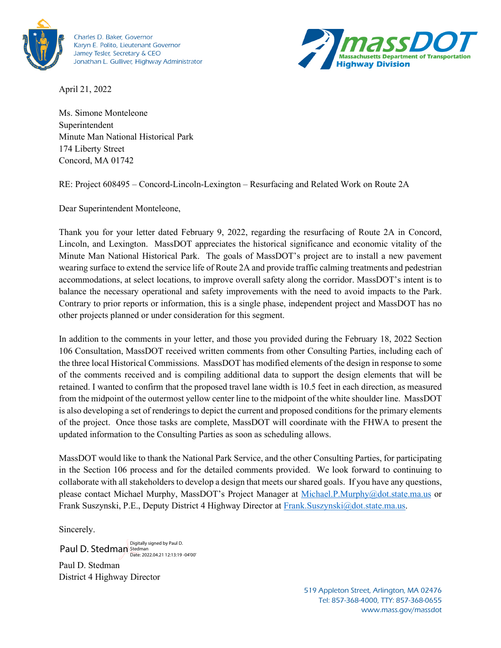

Charles D. Baker, Governor Karyn E. Polito, Lieutenant Governor Jamey Tesler, Secretary & CEO Jonathan L. Gulliver, Highway Administrator

April 21, 2022



Ms. Simone Monteleone Superintendent Minute Man National Historical Park 174 Liberty Street Concord, MA 01742

RE: Project 608495 – Concord-Lincoln-Lexington – Resurfacing and Related Work on Route 2A

Dear Superintendent Monteleone,

Thank you for your letter dated February 9, 2022, regarding the resurfacing of Route 2A in Concord, Lincoln, and Lexington. MassDOT appreciates the historical significance and economic vitality of the Minute Man National Historical Park. The goals of MassDOT's project are to install a new pavement wearing surface to extend the service life of Route 2A and provide traffic calming treatments and pedestrian accommodations, at select locations, to improve overall safety along the corridor. MassDOT's intent is to balance the necessary operational and safety improvements with the need to avoid impacts to the Park. Contrary to prior reports or information, this is a single phase, independent project and MassDOT has no other projects planned or under consideration for this segment.

In addition to the comments in your letter, and those you provided during the February 18, 2022 Section 106 Consultation, MassDOT received written comments from other Consulting Parties, including each of the three local Historical Commissions. MassDOT has modified elements of the design in response to some of the comments received and is compiling additional data to support the design elements that will be retained. I wanted to confirm that the proposed travel lane width is 10.5 feet in each direction, as measured from the midpoint of the outermost yellow center line to the midpoint of the white shoulder line. MassDOT is also developing a set of renderings to depict the current and proposed conditions for the primary elements of the project. Once those tasks are complete, MassDOT will coordinate with the FHWA to present the updated information to the Consulting Parties as soon as scheduling allows.

MassDOT would like to thank the National Park Service, and the other Consulting Parties, for participating in the Section 106 process and for the detailed comments provided. We look forward to continuing to collaborate with all stakeholders to develop a design that meets our shared goals. If you have any questions, please contact Michael Murphy, MassDOT's Project Manager at [Michael.P.Murphy@dot.state.ma.us](mailto:Michael.P.Murphy@dot.state.ma.us) or Frank Suszynski, P.E., Deputy District 4 Highway Director a[t Frank.Suszynski@dot.state.ma.us.](mailto:Frank.Suszynski@dot.state.ma.us)

Sincerely.

Paul D. Stedman District 4 Highway Director Digitally signed by Paul D.<br>Paul D. Stedman Stedman<br>Date: 2022.04.21 12:13:19 -04'00'